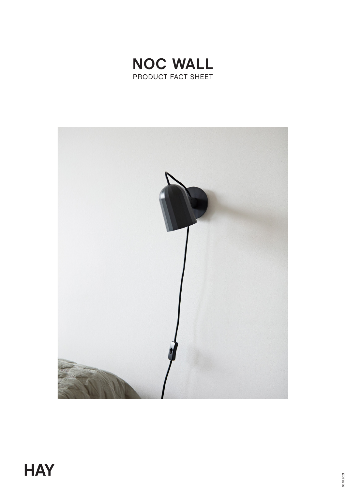

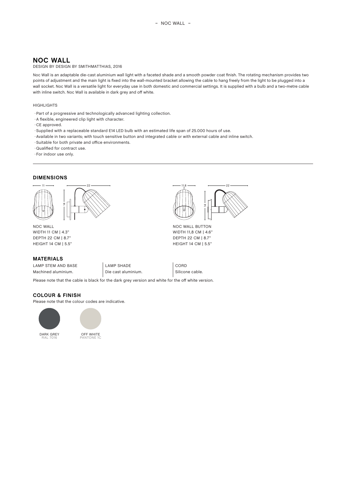# **NOC WALL**

### DESIGN BY DESIGN BY SMITHMATTHIAS, 2016

Noc Wall is an adaptable die-cast aluminium wall light with a faceted shade and a smooth powder coat finish. The rotating mechanism provides two points of adjustment and the main light is fixed into the wall-mounted bracket allowing the cable to hang freely from the light to be plugged into a wall socket. Noc Wall is a versatile light for everyday use in both domestic and commercial settings. It is supplied with a bulb and a two-metre cable with inline switch. Noc Wall is available in dark grey and off white.

#### **HIGHLIGHTS**

- · Part of a progressive and technologically advanced lighting collection.
- A flexible, engineered clip light with character.
- ⋅ CE approved.
- · Supplied with a replaceable standard E14 LED bulb with an estimated life span of 25.000 hours of use.
- ◊ Available in two variants; with touch sensitive button and integrated cable or with external cable and inline switch.
- ◊ Suitable for both private and office environments.
- ◊ Qualified for contract use.
- **· For indoor use only.**

### **DIMENSIONS**



NOC WALL WIDTH 11 CM | 4.3" DEPTH 22 CM | 8.7" HEIGHT 14 CM | 5.5"

### **MATERIALS**

LAMP STEM AND BASE  $\vert$  LAMP SHADE  $\vert$  CORD Machined aluminium. Die cast aluminium. Silicone cable.

### **COLOUR & FINISH**

Please note that the colour codes are indicative.





PANTONE 1C



NOC WALL BUTTON WIDTH 11,8 CM | 4.6" DEPTH 22 CM | 8.7" HEIGHT 14 CM | 5.5"